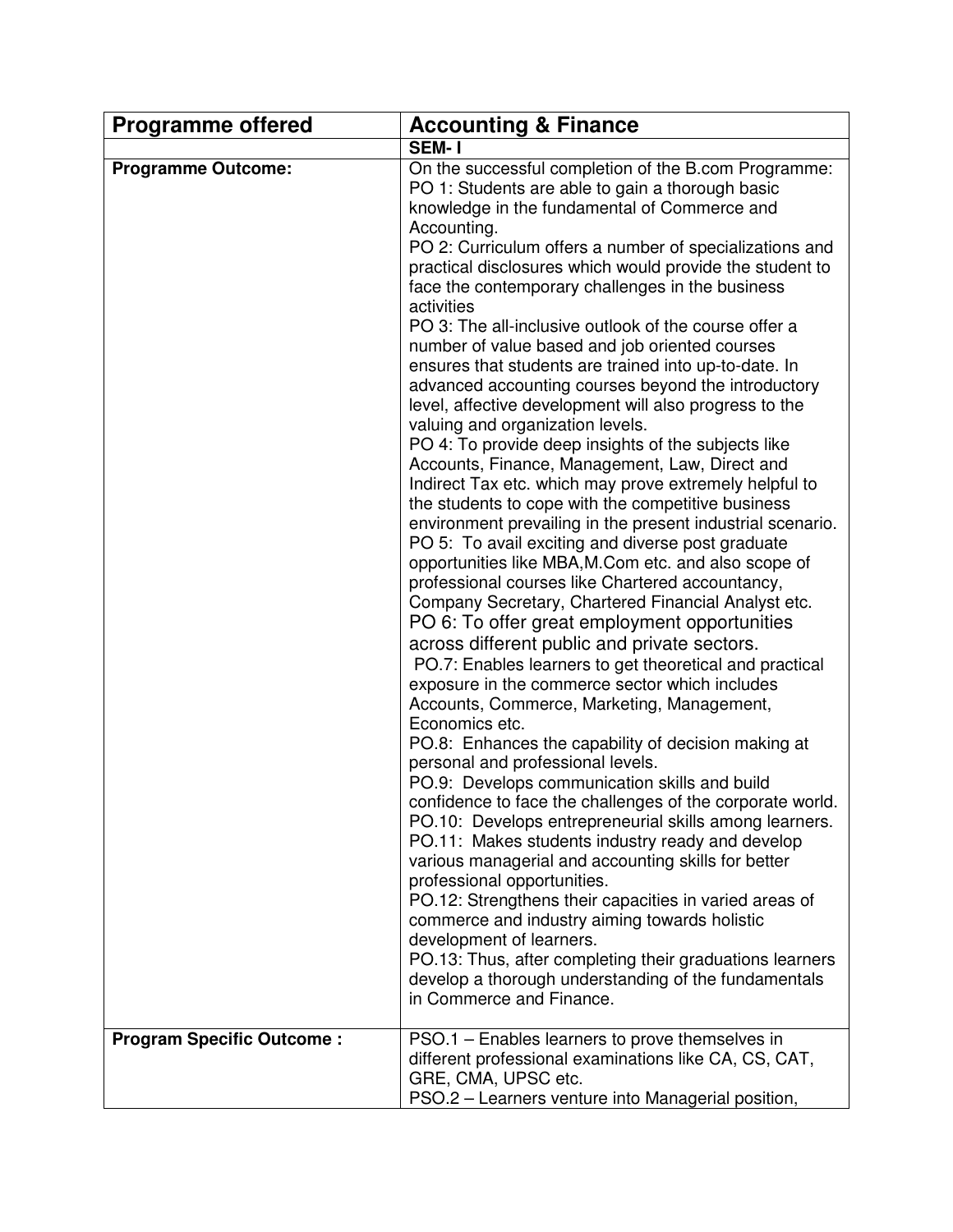| <b>Programme offered</b>         | <b>Accounting &amp; Finance</b>                                                                                                                                                                                                                                                                                                                                                                                                                                                                                                                                                                                                                                                                                                                                                                                                                                                                                                                                                                                                                                                                                                                                                                                                                                                                                                                                                                                                                                                                                                                                                                                                                                                                                                                                                                                                                                                                                                                                                                                                                                                                                                                                 |
|----------------------------------|-----------------------------------------------------------------------------------------------------------------------------------------------------------------------------------------------------------------------------------------------------------------------------------------------------------------------------------------------------------------------------------------------------------------------------------------------------------------------------------------------------------------------------------------------------------------------------------------------------------------------------------------------------------------------------------------------------------------------------------------------------------------------------------------------------------------------------------------------------------------------------------------------------------------------------------------------------------------------------------------------------------------------------------------------------------------------------------------------------------------------------------------------------------------------------------------------------------------------------------------------------------------------------------------------------------------------------------------------------------------------------------------------------------------------------------------------------------------------------------------------------------------------------------------------------------------------------------------------------------------------------------------------------------------------------------------------------------------------------------------------------------------------------------------------------------------------------------------------------------------------------------------------------------------------------------------------------------------------------------------------------------------------------------------------------------------------------------------------------------------------------------------------------------------|
|                                  | SEM-1                                                                                                                                                                                                                                                                                                                                                                                                                                                                                                                                                                                                                                                                                                                                                                                                                                                                                                                                                                                                                                                                                                                                                                                                                                                                                                                                                                                                                                                                                                                                                                                                                                                                                                                                                                                                                                                                                                                                                                                                                                                                                                                                                           |
| <b>Programme Outcome:</b>        | On the successful completion of the B.com Programme:<br>PO 1: Students are able to gain a thorough basic<br>knowledge in the fundamental of Commerce and<br>Accounting.<br>PO 2: Curriculum offers a number of specializations and<br>practical disclosures which would provide the student to<br>face the contemporary challenges in the business<br>activities<br>PO 3: The all-inclusive outlook of the course offer a<br>number of value based and job oriented courses<br>ensures that students are trained into up-to-date. In<br>advanced accounting courses beyond the introductory<br>level, affective development will also progress to the<br>valuing and organization levels.<br>PO 4: To provide deep insights of the subjects like<br>Accounts, Finance, Management, Law, Direct and<br>Indirect Tax etc. which may prove extremely helpful to<br>the students to cope with the competitive business<br>environment prevailing in the present industrial scenario.<br>PO 5: To avail exciting and diverse post graduate<br>opportunities like MBA, M.Com etc. and also scope of<br>professional courses like Chartered accountancy,<br>Company Secretary, Chartered Financial Analyst etc.<br>PO 6: To offer great employment opportunities<br>across different public and private sectors.<br>PO.7: Enables learners to get theoretical and practical<br>exposure in the commerce sector which includes<br>Accounts, Commerce, Marketing, Management,<br>Economics etc.<br>PO.8: Enhances the capability of decision making at<br>personal and professional levels.<br>PO.9: Develops communication skills and build<br>confidence to face the challenges of the corporate world.<br>PO.10: Develops entrepreneurial skills among learners.<br>PO.11: Makes students industry ready and develop<br>various managerial and accounting skills for better<br>professional opportunities.<br>PO.12: Strengthens their capacities in varied areas of<br>commerce and industry aiming towards holistic<br>development of learners.<br>PO.13: Thus, after completing their graduations learners<br>develop a thorough understanding of the fundamentals |
|                                  | in Commerce and Finance.                                                                                                                                                                                                                                                                                                                                                                                                                                                                                                                                                                                                                                                                                                                                                                                                                                                                                                                                                                                                                                                                                                                                                                                                                                                                                                                                                                                                                                                                                                                                                                                                                                                                                                                                                                                                                                                                                                                                                                                                                                                                                                                                        |
| <b>Program Specific Outcome:</b> | PSO.1 - Enables learners to prove themselves in                                                                                                                                                                                                                                                                                                                                                                                                                                                                                                                                                                                                                                                                                                                                                                                                                                                                                                                                                                                                                                                                                                                                                                                                                                                                                                                                                                                                                                                                                                                                                                                                                                                                                                                                                                                                                                                                                                                                                                                                                                                                                                                 |
|                                  | different professional examinations like CA, CS, CAT,<br>GRE, CMA, UPSC etc.<br>PSO.2 - Learners venture into Managerial position,                                                                                                                                                                                                                                                                                                                                                                                                                                                                                                                                                                                                                                                                                                                                                                                                                                                                                                                                                                                                                                                                                                                                                                                                                                                                                                                                                                                                                                                                                                                                                                                                                                                                                                                                                                                                                                                                                                                                                                                                                              |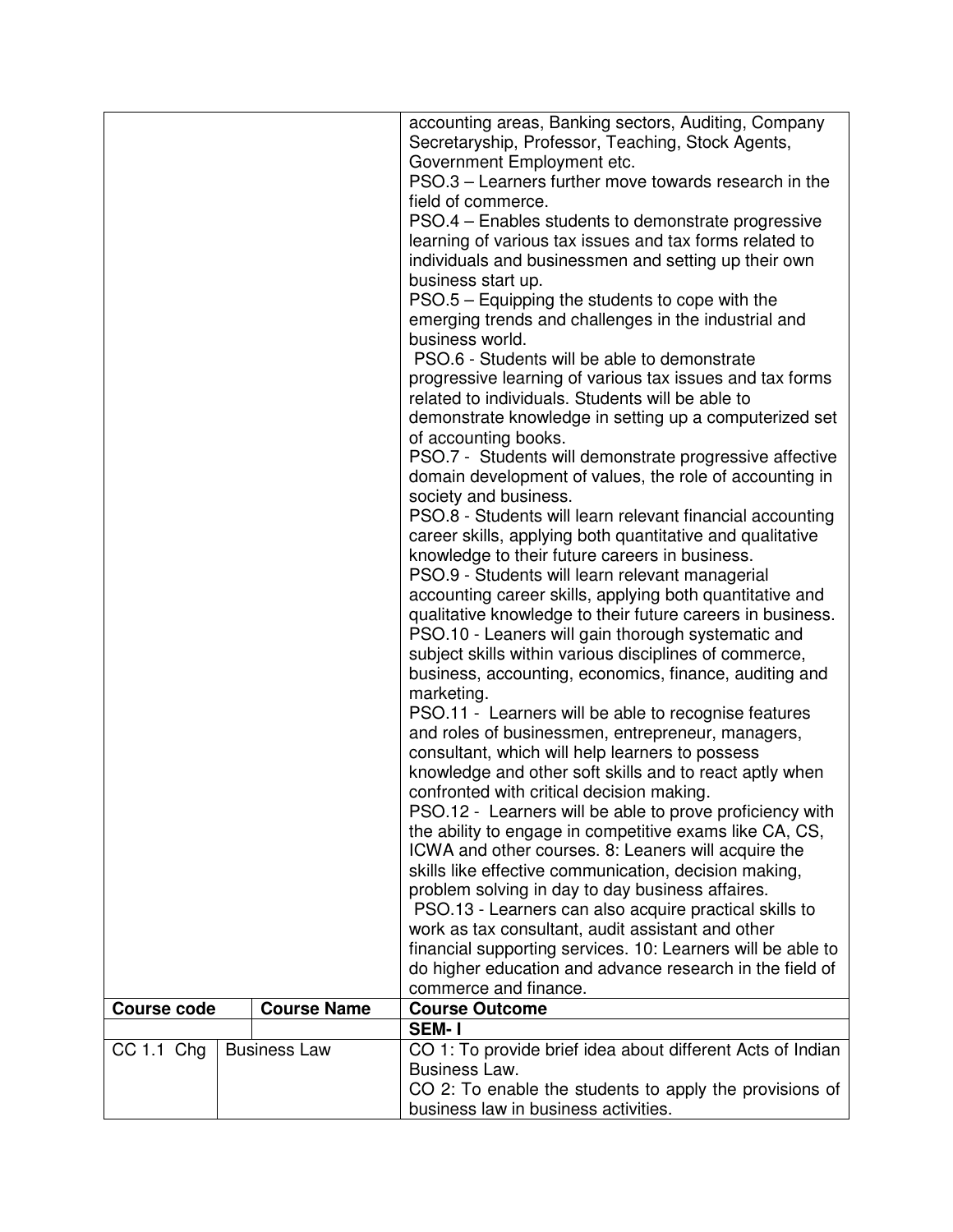| Secretaryship, Professor, Teaching, Stock Agents,<br>Government Employment etc.<br>PSO.3 - Learners further move towards research in the<br>field of commerce.<br>PSO.4 - Enables students to demonstrate progressive<br>learning of various tax issues and tax forms related to<br>individuals and businessmen and setting up their own<br>business start up.<br>PSO.5 – Equipping the students to cope with the<br>emerging trends and challenges in the industrial and<br>business world.<br>PSO.6 - Students will be able to demonstrate<br>progressive learning of various tax issues and tax forms<br>related to individuals. Students will be able to<br>demonstrate knowledge in setting up a computerized set<br>of accounting books.<br>PSO.7 - Students will demonstrate progressive affective<br>domain development of values, the role of accounting in<br>society and business.<br>PSO.8 - Students will learn relevant financial accounting<br>career skills, applying both quantitative and qualitative<br>knowledge to their future careers in business.<br>PSO.9 - Students will learn relevant managerial |
|------------------------------------------------------------------------------------------------------------------------------------------------------------------------------------------------------------------------------------------------------------------------------------------------------------------------------------------------------------------------------------------------------------------------------------------------------------------------------------------------------------------------------------------------------------------------------------------------------------------------------------------------------------------------------------------------------------------------------------------------------------------------------------------------------------------------------------------------------------------------------------------------------------------------------------------------------------------------------------------------------------------------------------------------------------------------------------------------------------------------------|
|                                                                                                                                                                                                                                                                                                                                                                                                                                                                                                                                                                                                                                                                                                                                                                                                                                                                                                                                                                                                                                                                                                                              |
|                                                                                                                                                                                                                                                                                                                                                                                                                                                                                                                                                                                                                                                                                                                                                                                                                                                                                                                                                                                                                                                                                                                              |
|                                                                                                                                                                                                                                                                                                                                                                                                                                                                                                                                                                                                                                                                                                                                                                                                                                                                                                                                                                                                                                                                                                                              |
|                                                                                                                                                                                                                                                                                                                                                                                                                                                                                                                                                                                                                                                                                                                                                                                                                                                                                                                                                                                                                                                                                                                              |
|                                                                                                                                                                                                                                                                                                                                                                                                                                                                                                                                                                                                                                                                                                                                                                                                                                                                                                                                                                                                                                                                                                                              |
|                                                                                                                                                                                                                                                                                                                                                                                                                                                                                                                                                                                                                                                                                                                                                                                                                                                                                                                                                                                                                                                                                                                              |
|                                                                                                                                                                                                                                                                                                                                                                                                                                                                                                                                                                                                                                                                                                                                                                                                                                                                                                                                                                                                                                                                                                                              |
|                                                                                                                                                                                                                                                                                                                                                                                                                                                                                                                                                                                                                                                                                                                                                                                                                                                                                                                                                                                                                                                                                                                              |
|                                                                                                                                                                                                                                                                                                                                                                                                                                                                                                                                                                                                                                                                                                                                                                                                                                                                                                                                                                                                                                                                                                                              |
|                                                                                                                                                                                                                                                                                                                                                                                                                                                                                                                                                                                                                                                                                                                                                                                                                                                                                                                                                                                                                                                                                                                              |
|                                                                                                                                                                                                                                                                                                                                                                                                                                                                                                                                                                                                                                                                                                                                                                                                                                                                                                                                                                                                                                                                                                                              |
|                                                                                                                                                                                                                                                                                                                                                                                                                                                                                                                                                                                                                                                                                                                                                                                                                                                                                                                                                                                                                                                                                                                              |
|                                                                                                                                                                                                                                                                                                                                                                                                                                                                                                                                                                                                                                                                                                                                                                                                                                                                                                                                                                                                                                                                                                                              |
|                                                                                                                                                                                                                                                                                                                                                                                                                                                                                                                                                                                                                                                                                                                                                                                                                                                                                                                                                                                                                                                                                                                              |
|                                                                                                                                                                                                                                                                                                                                                                                                                                                                                                                                                                                                                                                                                                                                                                                                                                                                                                                                                                                                                                                                                                                              |
|                                                                                                                                                                                                                                                                                                                                                                                                                                                                                                                                                                                                                                                                                                                                                                                                                                                                                                                                                                                                                                                                                                                              |
|                                                                                                                                                                                                                                                                                                                                                                                                                                                                                                                                                                                                                                                                                                                                                                                                                                                                                                                                                                                                                                                                                                                              |
|                                                                                                                                                                                                                                                                                                                                                                                                                                                                                                                                                                                                                                                                                                                                                                                                                                                                                                                                                                                                                                                                                                                              |
|                                                                                                                                                                                                                                                                                                                                                                                                                                                                                                                                                                                                                                                                                                                                                                                                                                                                                                                                                                                                                                                                                                                              |
|                                                                                                                                                                                                                                                                                                                                                                                                                                                                                                                                                                                                                                                                                                                                                                                                                                                                                                                                                                                                                                                                                                                              |
|                                                                                                                                                                                                                                                                                                                                                                                                                                                                                                                                                                                                                                                                                                                                                                                                                                                                                                                                                                                                                                                                                                                              |
|                                                                                                                                                                                                                                                                                                                                                                                                                                                                                                                                                                                                                                                                                                                                                                                                                                                                                                                                                                                                                                                                                                                              |
|                                                                                                                                                                                                                                                                                                                                                                                                                                                                                                                                                                                                                                                                                                                                                                                                                                                                                                                                                                                                                                                                                                                              |
| accounting career skills, applying both quantitative and                                                                                                                                                                                                                                                                                                                                                                                                                                                                                                                                                                                                                                                                                                                                                                                                                                                                                                                                                                                                                                                                     |
| qualitative knowledge to their future careers in business.                                                                                                                                                                                                                                                                                                                                                                                                                                                                                                                                                                                                                                                                                                                                                                                                                                                                                                                                                                                                                                                                   |
| PSO.10 - Leaners will gain thorough systematic and                                                                                                                                                                                                                                                                                                                                                                                                                                                                                                                                                                                                                                                                                                                                                                                                                                                                                                                                                                                                                                                                           |
| subject skills within various disciplines of commerce,                                                                                                                                                                                                                                                                                                                                                                                                                                                                                                                                                                                                                                                                                                                                                                                                                                                                                                                                                                                                                                                                       |
| business, accounting, economics, finance, auditing and                                                                                                                                                                                                                                                                                                                                                                                                                                                                                                                                                                                                                                                                                                                                                                                                                                                                                                                                                                                                                                                                       |
| marketing.                                                                                                                                                                                                                                                                                                                                                                                                                                                                                                                                                                                                                                                                                                                                                                                                                                                                                                                                                                                                                                                                                                                   |
| PSO.11 - Learners will be able to recognise features                                                                                                                                                                                                                                                                                                                                                                                                                                                                                                                                                                                                                                                                                                                                                                                                                                                                                                                                                                                                                                                                         |
| and roles of businessmen, entrepreneur, managers,                                                                                                                                                                                                                                                                                                                                                                                                                                                                                                                                                                                                                                                                                                                                                                                                                                                                                                                                                                                                                                                                            |
| consultant, which will help learners to possess                                                                                                                                                                                                                                                                                                                                                                                                                                                                                                                                                                                                                                                                                                                                                                                                                                                                                                                                                                                                                                                                              |
| knowledge and other soft skills and to react aptly when                                                                                                                                                                                                                                                                                                                                                                                                                                                                                                                                                                                                                                                                                                                                                                                                                                                                                                                                                                                                                                                                      |
| confronted with critical decision making.                                                                                                                                                                                                                                                                                                                                                                                                                                                                                                                                                                                                                                                                                                                                                                                                                                                                                                                                                                                                                                                                                    |
| PSO.12 - Learners will be able to prove proficiency with                                                                                                                                                                                                                                                                                                                                                                                                                                                                                                                                                                                                                                                                                                                                                                                                                                                                                                                                                                                                                                                                     |
| the ability to engage in competitive exams like CA, CS,                                                                                                                                                                                                                                                                                                                                                                                                                                                                                                                                                                                                                                                                                                                                                                                                                                                                                                                                                                                                                                                                      |
| ICWA and other courses. 8: Leaners will acquire the                                                                                                                                                                                                                                                                                                                                                                                                                                                                                                                                                                                                                                                                                                                                                                                                                                                                                                                                                                                                                                                                          |
| skills like effective communication, decision making,                                                                                                                                                                                                                                                                                                                                                                                                                                                                                                                                                                                                                                                                                                                                                                                                                                                                                                                                                                                                                                                                        |
| problem solving in day to day business affaires.                                                                                                                                                                                                                                                                                                                                                                                                                                                                                                                                                                                                                                                                                                                                                                                                                                                                                                                                                                                                                                                                             |
| PSO.13 - Learners can also acquire practical skills to                                                                                                                                                                                                                                                                                                                                                                                                                                                                                                                                                                                                                                                                                                                                                                                                                                                                                                                                                                                                                                                                       |
| work as tax consultant, audit assistant and other                                                                                                                                                                                                                                                                                                                                                                                                                                                                                                                                                                                                                                                                                                                                                                                                                                                                                                                                                                                                                                                                            |
| financial supporting services. 10: Learners will be able to                                                                                                                                                                                                                                                                                                                                                                                                                                                                                                                                                                                                                                                                                                                                                                                                                                                                                                                                                                                                                                                                  |
| do higher education and advance research in the field of                                                                                                                                                                                                                                                                                                                                                                                                                                                                                                                                                                                                                                                                                                                                                                                                                                                                                                                                                                                                                                                                     |
| commerce and finance.                                                                                                                                                                                                                                                                                                                                                                                                                                                                                                                                                                                                                                                                                                                                                                                                                                                                                                                                                                                                                                                                                                        |
| <b>Course Name</b><br><b>Course Outcome</b><br><b>Course code</b><br><b>SEM-1</b>                                                                                                                                                                                                                                                                                                                                                                                                                                                                                                                                                                                                                                                                                                                                                                                                                                                                                                                                                                                                                                            |
|                                                                                                                                                                                                                                                                                                                                                                                                                                                                                                                                                                                                                                                                                                                                                                                                                                                                                                                                                                                                                                                                                                                              |
| CO 1: To provide brief idea about different Acts of Indian<br>$CC$ 1.1 $Chg$<br><b>Business Law</b><br>Business Law.                                                                                                                                                                                                                                                                                                                                                                                                                                                                                                                                                                                                                                                                                                                                                                                                                                                                                                                                                                                                         |
| CO 2: To enable the students to apply the provisions of                                                                                                                                                                                                                                                                                                                                                                                                                                                                                                                                                                                                                                                                                                                                                                                                                                                                                                                                                                                                                                                                      |
| business law in business activities.                                                                                                                                                                                                                                                                                                                                                                                                                                                                                                                                                                                                                                                                                                                                                                                                                                                                                                                                                                                                                                                                                         |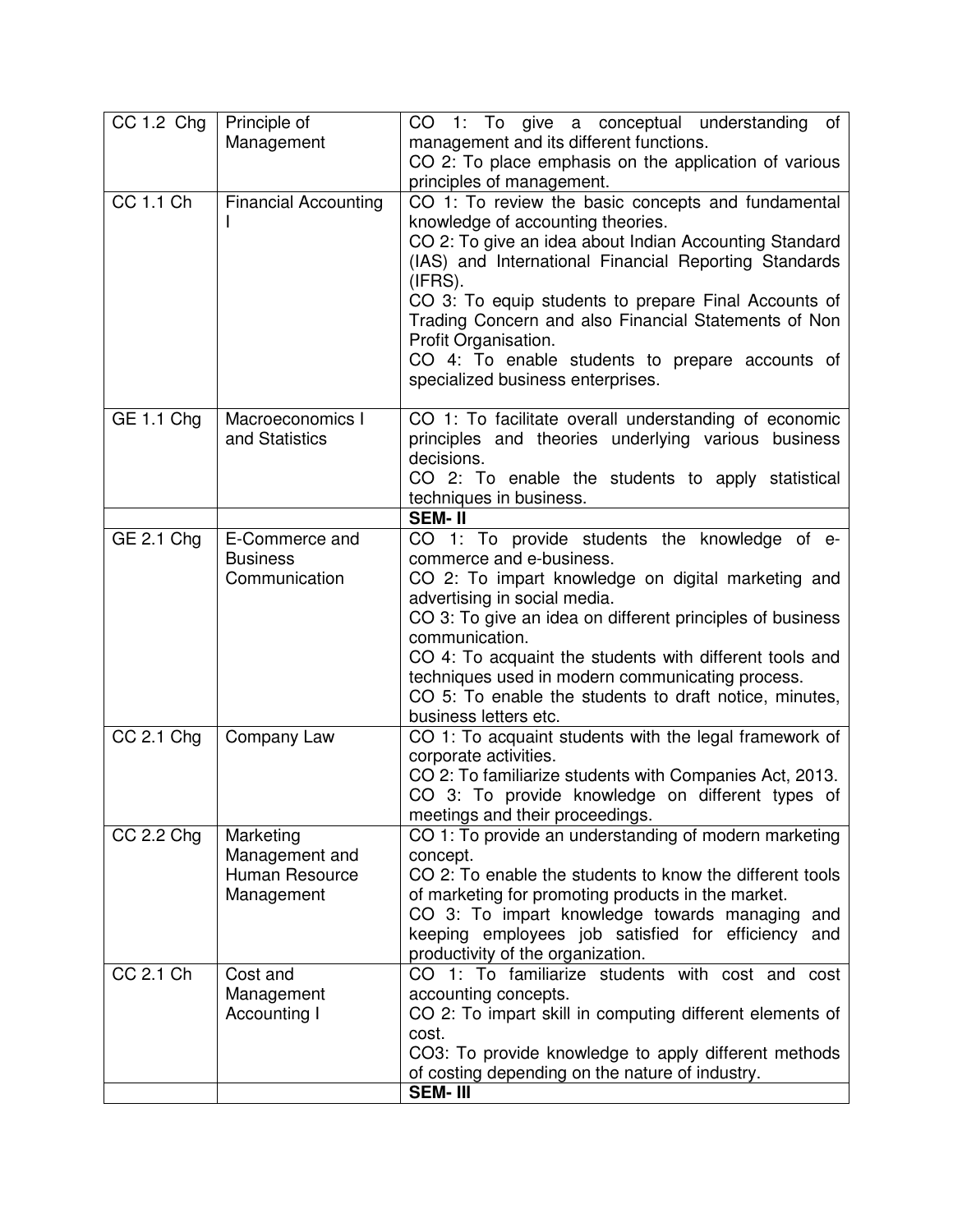| CC 1.2 Chg     | Principle of                       | of<br>CO 1: To give a conceptual understanding                                                               |
|----------------|------------------------------------|--------------------------------------------------------------------------------------------------------------|
|                | Management                         | management and its different functions.                                                                      |
|                |                                    | CO 2: To place emphasis on the application of various                                                        |
|                |                                    | principles of management.                                                                                    |
| $CC$ 1.1 $Ch$  | <b>Financial Accounting</b>        | CO 1: To review the basic concepts and fundamental                                                           |
|                |                                    | knowledge of accounting theories.                                                                            |
|                |                                    | CO 2: To give an idea about Indian Accounting Standard                                                       |
|                |                                    | (IAS) and International Financial Reporting Standards                                                        |
|                |                                    | (IFRS).                                                                                                      |
|                |                                    | CO 3: To equip students to prepare Final Accounts of                                                         |
|                |                                    | Trading Concern and also Financial Statements of Non                                                         |
|                |                                    | Profit Organisation.                                                                                         |
|                |                                    | CO 4: To enable students to prepare accounts of                                                              |
|                |                                    | specialized business enterprises.                                                                            |
|                |                                    |                                                                                                              |
| GE 1.1 Chg     | Macroeconomics I<br>and Statistics | CO 1: To facilitate overall understanding of economic<br>principles and theories underlying various business |
|                |                                    | decisions.                                                                                                   |
|                |                                    | CO 2: To enable the students to apply statistical                                                            |
|                |                                    | techniques in business.                                                                                      |
|                |                                    | <b>SEM-II</b>                                                                                                |
| GE 2.1 Chg     | E-Commerce and                     | CO 1: To provide students the knowledge of e-                                                                |
|                | <b>Business</b>                    | commerce and e-business.                                                                                     |
|                | Communication                      | CO 2: To impart knowledge on digital marketing and                                                           |
|                |                                    | advertising in social media.                                                                                 |
|                |                                    | CO 3: To give an idea on different principles of business                                                    |
|                |                                    | communication.                                                                                               |
|                |                                    | CO 4: To acquaint the students with different tools and                                                      |
|                |                                    | techniques used in modern communicating process.                                                             |
|                |                                    | CO 5: To enable the students to draft notice, minutes,                                                       |
| $CC$ 2.1 $Chg$ | Company Law                        | business letters etc.<br>CO 1: To acquaint students with the legal framework of                              |
|                |                                    | corporate activities.                                                                                        |
|                |                                    | CO 2: To familiarize students with Companies Act, 2013.                                                      |
|                |                                    | CO 3: To provide knowledge on different types of                                                             |
|                |                                    | meetings and their proceedings.                                                                              |
| $CC$ 2.2 $Chg$ | Marketing                          | CO 1: To provide an understanding of modern marketing                                                        |
|                | Management and                     | concept.                                                                                                     |
|                | Human Resource                     | CO 2: To enable the students to know the different tools                                                     |
|                | Management                         | of marketing for promoting products in the market.                                                           |
|                |                                    | CO 3: To impart knowledge towards managing<br>and                                                            |
|                |                                    | keeping employees job satisfied for efficiency<br>and                                                        |
|                |                                    | productivity of the organization.                                                                            |
| CC 2.1 Ch      | Cost and                           | CO 1: To familiarize students with cost and cost                                                             |
|                | Management                         | accounting concepts.<br>CO 2: To impart skill in computing different elements of                             |
|                | Accounting I                       | cost.                                                                                                        |
|                |                                    | CO3: To provide knowledge to apply different methods                                                         |
|                |                                    | of costing depending on the nature of industry.                                                              |
|                |                                    | <b>SEM-III</b>                                                                                               |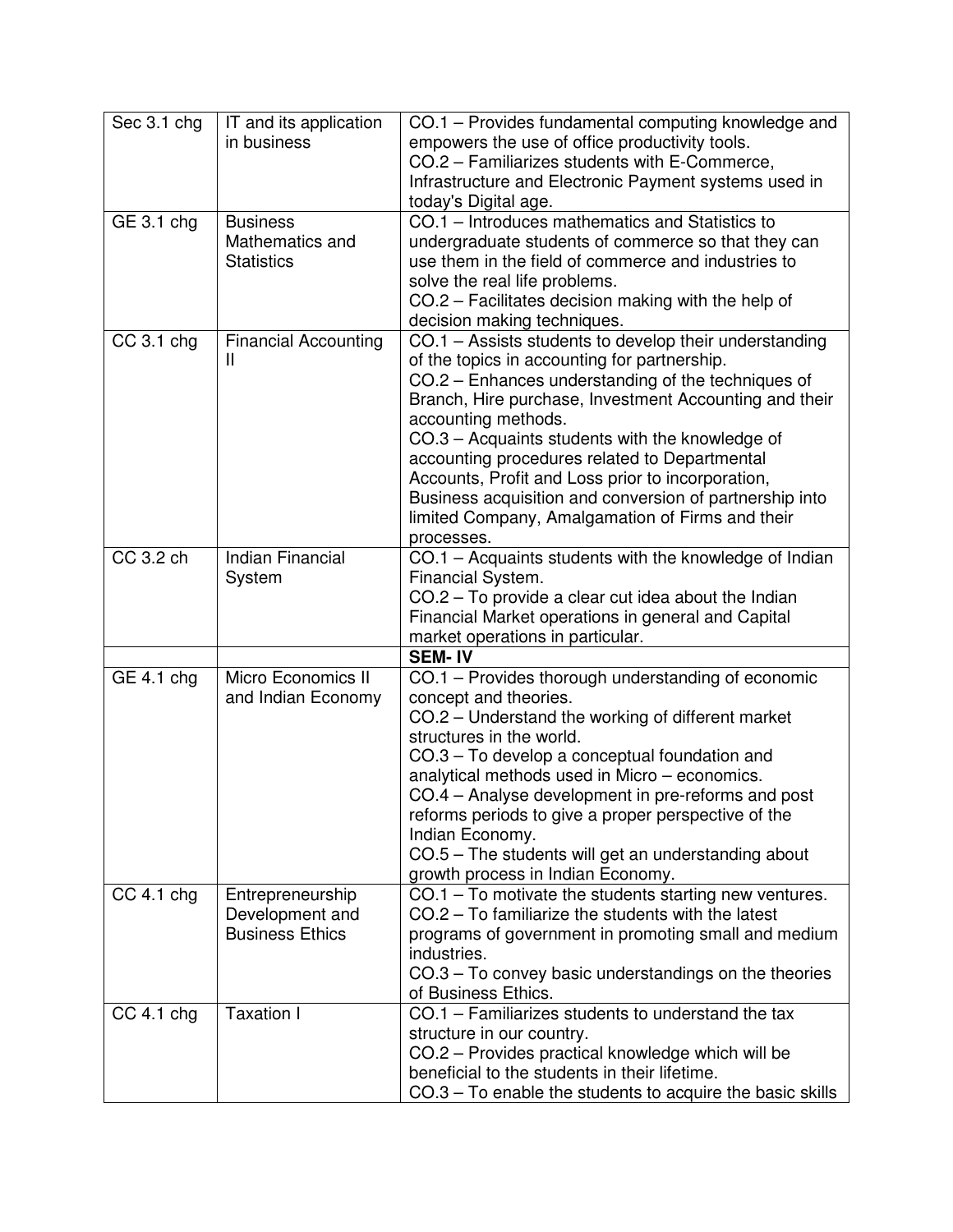| Sec 3.1 chg             | IT and its application<br>in business                         | CO.1 – Provides fundamental computing knowledge and<br>empowers the use of office productivity tools.<br>CO.2 - Familiarizes students with E-Commerce,                                                                                                                                                                                                                                                                                                                                                                              |
|-------------------------|---------------------------------------------------------------|-------------------------------------------------------------------------------------------------------------------------------------------------------------------------------------------------------------------------------------------------------------------------------------------------------------------------------------------------------------------------------------------------------------------------------------------------------------------------------------------------------------------------------------|
|                         |                                                               | Infrastructure and Electronic Payment systems used in<br>today's Digital age.                                                                                                                                                                                                                                                                                                                                                                                                                                                       |
| $\overline{GE}$ 3.1 chg | <b>Business</b><br>Mathematics and<br><b>Statistics</b>       | CO.1 – Introduces mathematics and Statistics to<br>undergraduate students of commerce so that they can<br>use them in the field of commerce and industries to<br>solve the real life problems.<br>CO.2 - Facilitates decision making with the help of<br>decision making techniques.                                                                                                                                                                                                                                                |
| $CC$ 3.1 chg            | <b>Financial Accounting</b><br>Ш                              | CO.1 - Assists students to develop their understanding<br>of the topics in accounting for partnership.<br>CO.2 - Enhances understanding of the techniques of<br>Branch, Hire purchase, Investment Accounting and their<br>accounting methods.<br>CO.3 - Acquaints students with the knowledge of<br>accounting procedures related to Departmental<br>Accounts, Profit and Loss prior to incorporation,<br>Business acquisition and conversion of partnership into<br>limited Company, Amalgamation of Firms and their<br>processes. |
| CC 3.2 ch               | Indian Financial<br>System                                    | CO.1 - Acquaints students with the knowledge of Indian<br>Financial System.<br>CO.2 – To provide a clear cut idea about the Indian<br>Financial Market operations in general and Capital<br>market operations in particular.<br><b>SEM-IV</b>                                                                                                                                                                                                                                                                                       |
| GE 4.1 chg              | Micro Economics II<br>and Indian Economy                      | CO.1 – Provides thorough understanding of economic<br>concept and theories.<br>CO.2 – Understand the working of different market<br>structures in the world.<br>CO.3 – To develop a conceptual foundation and<br>analytical methods used in Micro - economics.<br>CO.4 – Analyse development in pre-reforms and post<br>reforms periods to give a proper perspective of the<br>Indian Economy.<br>CO.5 – The students will get an understanding about<br>growth process in Indian Economy.                                          |
| $CC$ 4.1 chg            | Entrepreneurship<br>Development and<br><b>Business Ethics</b> | $CO.1 - To motivate the students starting new ventures.$<br>CO.2 - To familiarize the students with the latest<br>programs of government in promoting small and medium<br>industries.<br>CO.3 – To convey basic understandings on the theories<br>of Business Ethics.                                                                                                                                                                                                                                                               |
| $CC$ 4.1 chg            | <b>Taxation I</b>                                             | CO.1 - Familiarizes students to understand the tax<br>structure in our country.<br>CO.2 - Provides practical knowledge which will be<br>beneficial to the students in their lifetime.<br>$CO.3 - To enable the students to acquire the basic skills$                                                                                                                                                                                                                                                                                |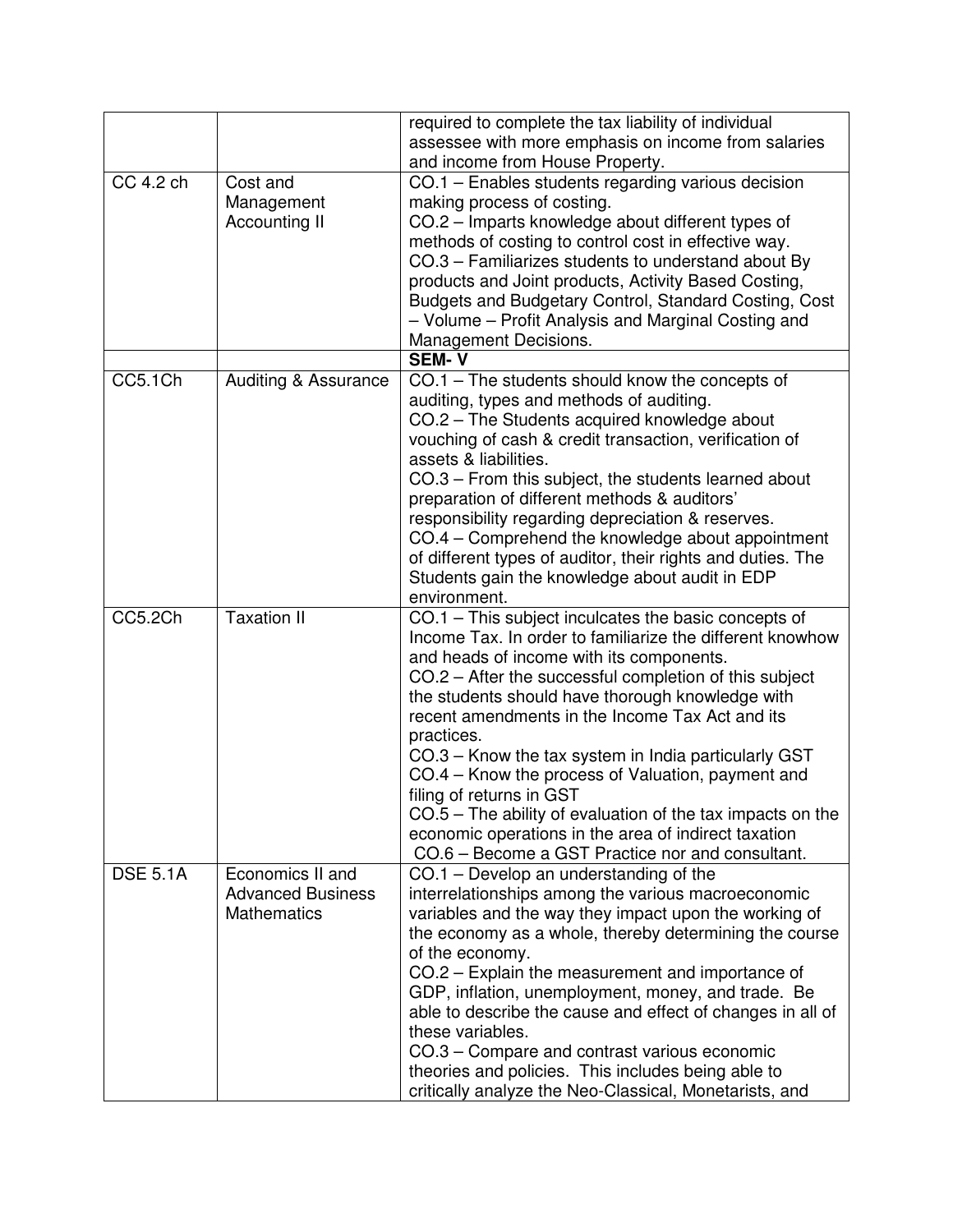|                 |                          | required to complete the tax liability of individual        |
|-----------------|--------------------------|-------------------------------------------------------------|
|                 |                          | assessee with more emphasis on income from salaries         |
|                 |                          | and income from House Property.                             |
| CC 4.2 ch       | Cost and                 | CO.1 - Enables students regarding various decision          |
|                 | Management               | making process of costing.                                  |
|                 | Accounting II            | CO.2 - Imparts knowledge about different types of           |
|                 |                          | methods of costing to control cost in effective way.        |
|                 |                          | CO.3 – Familiarizes students to understand about By         |
|                 |                          | products and Joint products, Activity Based Costing,        |
|                 |                          | Budgets and Budgetary Control, Standard Costing, Cost       |
|                 |                          | - Volume - Profit Analysis and Marginal Costing and         |
|                 |                          | Management Decisions.                                       |
|                 |                          | <b>SEM-V</b>                                                |
| CC5.1Ch         | Auditing & Assurance     | CO.1 – The students should know the concepts of             |
|                 |                          | auditing, types and methods of auditing.                    |
|                 |                          | CO.2 - The Students acquired knowledge about                |
|                 |                          | vouching of cash & credit transaction, verification of      |
|                 |                          | assets & liabilities.                                       |
|                 |                          | CO.3 – From this subject, the students learned about        |
|                 |                          | preparation of different methods & auditors'                |
|                 |                          | responsibility regarding depreciation & reserves.           |
|                 |                          | CO.4 – Comprehend the knowledge about appointment           |
|                 |                          | of different types of auditor, their rights and duties. The |
|                 |                          | Students gain the knowledge about audit in EDP              |
|                 |                          | environment.                                                |
| CC5.2Ch         | <b>Taxation II</b>       | CO.1 - This subject inculcates the basic concepts of        |
|                 |                          | Income Tax. In order to familiarize the different knowhow   |
|                 |                          | and heads of income with its components.                    |
|                 |                          | CO.2 – After the successful completion of this subject      |
|                 |                          | the students should have thorough knowledge with            |
|                 |                          | recent amendments in the Income Tax Act and its             |
|                 |                          | practices.                                                  |
|                 |                          | CO.3 – Know the tax system in India particularly GST        |
|                 |                          | CO.4 – Know the process of Valuation, payment and           |
|                 |                          | filing of returns in GST                                    |
|                 |                          | CO.5 - The ability of evaluation of the tax impacts on the  |
|                 |                          | economic operations in the area of indirect taxation        |
|                 |                          | CO.6 - Become a GST Practice nor and consultant.            |
| <b>DSE 5.1A</b> | Economics II and         | CO.1 - Develop an understanding of the                      |
|                 | <b>Advanced Business</b> | interrelationships among the various macroeconomic          |
|                 | <b>Mathematics</b>       | variables and the way they impact upon the working of       |
|                 |                          | the economy as a whole, thereby determining the course      |
|                 |                          | of the economy.                                             |
|                 |                          | CO.2 – Explain the measurement and importance of            |
|                 |                          | GDP, inflation, unemployment, money, and trade. Be          |
|                 |                          | able to describe the cause and effect of changes in all of  |
|                 |                          | these variables.                                            |
|                 |                          | CO.3 – Compare and contrast various economic                |
|                 |                          | theories and policies. This includes being able to          |
|                 |                          | critically analyze the Neo-Classical, Monetarists, and      |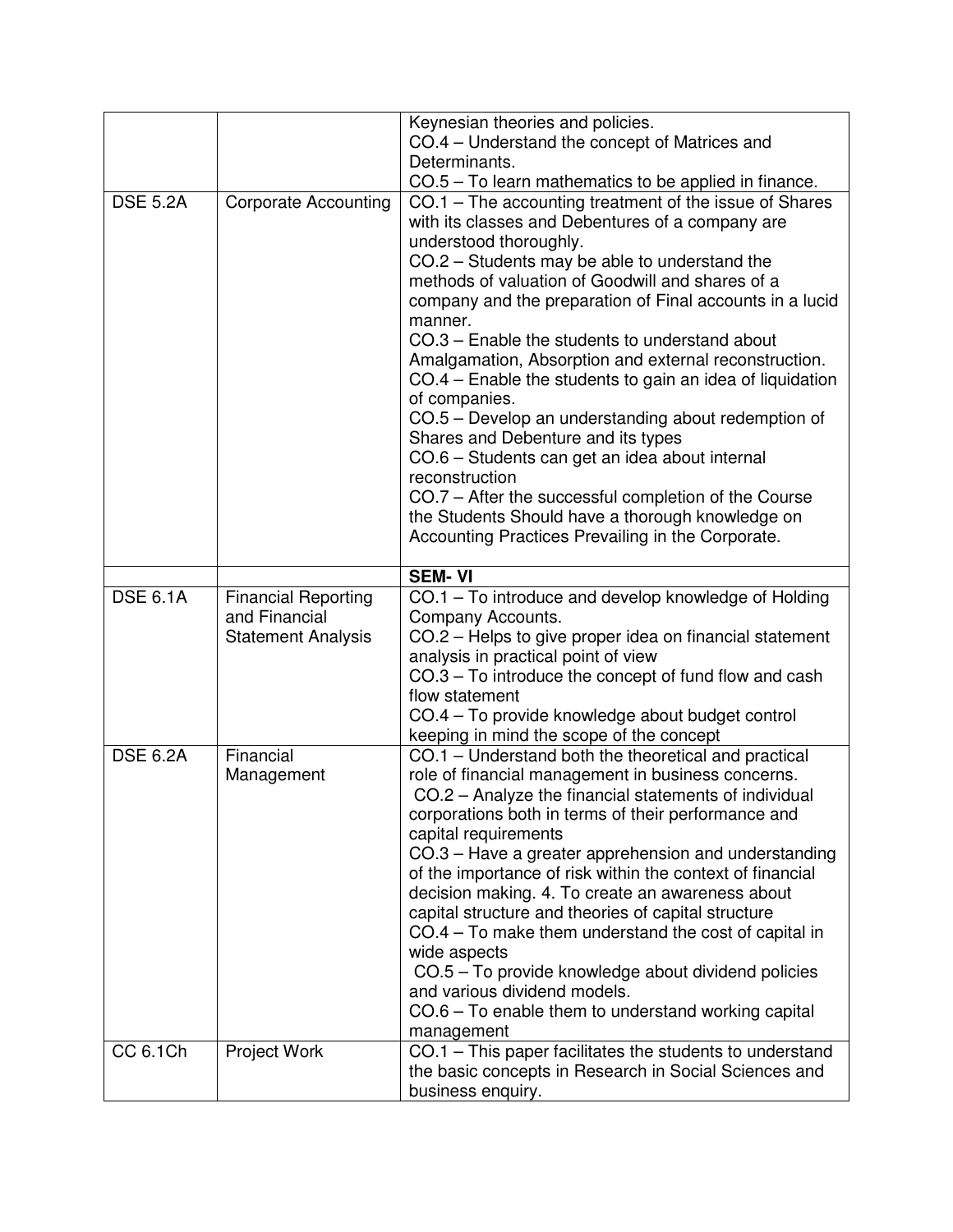|                 |                             | Keynesian theories and policies.                                                                                                                                                                                                                                                                                                                                                                                                                                                                                                                                                                                                                                                                                                                                                                                                            |
|-----------------|-----------------------------|---------------------------------------------------------------------------------------------------------------------------------------------------------------------------------------------------------------------------------------------------------------------------------------------------------------------------------------------------------------------------------------------------------------------------------------------------------------------------------------------------------------------------------------------------------------------------------------------------------------------------------------------------------------------------------------------------------------------------------------------------------------------------------------------------------------------------------------------|
|                 |                             | CO.4 – Understand the concept of Matrices and                                                                                                                                                                                                                                                                                                                                                                                                                                                                                                                                                                                                                                                                                                                                                                                               |
|                 |                             | Determinants.                                                                                                                                                                                                                                                                                                                                                                                                                                                                                                                                                                                                                                                                                                                                                                                                                               |
|                 |                             | CO.5 – To learn mathematics to be applied in finance.                                                                                                                                                                                                                                                                                                                                                                                                                                                                                                                                                                                                                                                                                                                                                                                       |
| <b>DSE 5.2A</b> | <b>Corporate Accounting</b> | CO.1 - The accounting treatment of the issue of Shares<br>with its classes and Debentures of a company are<br>understood thoroughly.<br>CO.2 – Students may be able to understand the<br>methods of valuation of Goodwill and shares of a<br>company and the preparation of Final accounts in a lucid<br>manner.<br>CO.3 – Enable the students to understand about<br>Amalgamation, Absorption and external reconstruction.<br>CO.4 – Enable the students to gain an idea of liquidation<br>of companies.<br>CO.5 – Develop an understanding about redemption of<br>Shares and Debenture and its types<br>CO.6 - Students can get an idea about internal<br>reconstruction<br>CO.7 – After the successful completion of the Course<br>the Students Should have a thorough knowledge on<br>Accounting Practices Prevailing in the Corporate. |
|                 |                             |                                                                                                                                                                                                                                                                                                                                                                                                                                                                                                                                                                                                                                                                                                                                                                                                                                             |
|                 |                             | <b>SEM-VI</b>                                                                                                                                                                                                                                                                                                                                                                                                                                                                                                                                                                                                                                                                                                                                                                                                                               |
| <b>DSE 6.1A</b> | <b>Financial Reporting</b>  | CO.1 – To introduce and develop knowledge of Holding                                                                                                                                                                                                                                                                                                                                                                                                                                                                                                                                                                                                                                                                                                                                                                                        |
|                 | and Financial               | Company Accounts.                                                                                                                                                                                                                                                                                                                                                                                                                                                                                                                                                                                                                                                                                                                                                                                                                           |
|                 | <b>Statement Analysis</b>   | CO.2 – Helps to give proper idea on financial statement                                                                                                                                                                                                                                                                                                                                                                                                                                                                                                                                                                                                                                                                                                                                                                                     |
|                 |                             | analysis in practical point of view                                                                                                                                                                                                                                                                                                                                                                                                                                                                                                                                                                                                                                                                                                                                                                                                         |
|                 |                             | CO.3 – To introduce the concept of fund flow and cash                                                                                                                                                                                                                                                                                                                                                                                                                                                                                                                                                                                                                                                                                                                                                                                       |
|                 |                             | flow statement                                                                                                                                                                                                                                                                                                                                                                                                                                                                                                                                                                                                                                                                                                                                                                                                                              |
|                 |                             | CO.4 - To provide knowledge about budget control                                                                                                                                                                                                                                                                                                                                                                                                                                                                                                                                                                                                                                                                                                                                                                                            |
|                 |                             | keeping in mind the scope of the concept                                                                                                                                                                                                                                                                                                                                                                                                                                                                                                                                                                                                                                                                                                                                                                                                    |
| <b>DSE 6.2A</b> | Financial<br>Management     | CO.1 – Understand both the theoretical and practical<br>role of financial management in business concerns.<br>CO.2 - Analyze the financial statements of individual<br>corporations both in terms of their performance and<br>capital requirements<br>CO.3 – Have a greater apprehension and understanding<br>of the importance of risk within the context of financial<br>decision making. 4. To create an awareness about<br>capital structure and theories of capital structure<br>CO.4 - To make them understand the cost of capital in<br>wide aspects<br>CO.5 - To provide knowledge about dividend policies                                                                                                                                                                                                                          |
|                 |                             | and various dividend models.                                                                                                                                                                                                                                                                                                                                                                                                                                                                                                                                                                                                                                                                                                                                                                                                                |
|                 |                             | CO.6 - To enable them to understand working capital                                                                                                                                                                                                                                                                                                                                                                                                                                                                                                                                                                                                                                                                                                                                                                                         |
|                 |                             | management                                                                                                                                                                                                                                                                                                                                                                                                                                                                                                                                                                                                                                                                                                                                                                                                                                  |
| CC 6.1Ch        | Project Work                | CO.1 - This paper facilitates the students to understand<br>the basic concepts in Research in Social Sciences and<br>business enquiry.                                                                                                                                                                                                                                                                                                                                                                                                                                                                                                                                                                                                                                                                                                      |